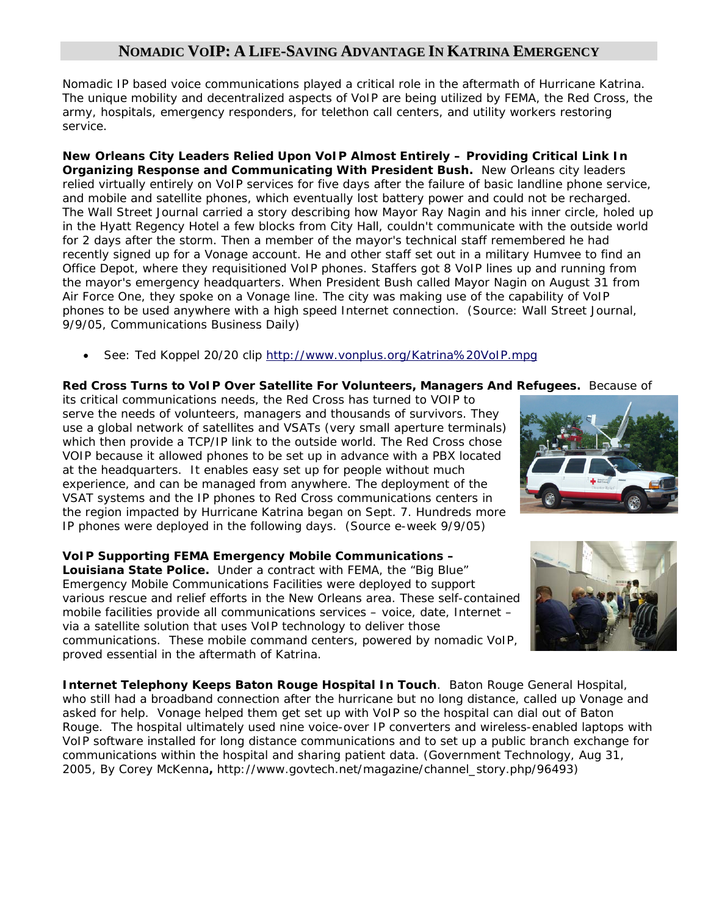## **NOMADIC VOIP: A LIFE-SAVING ADVANTAGE IN KATRINA EMERGENCY**

Nomadic IP based voice communications played a critical role in the aftermath of Hurricane Katrina. The unique mobility and decentralized aspects of VoIP are being utilized by FEMA, the Red Cross, the army, hospitals, emergency responders, for telethon call centers, and utility workers restoring service.

**New Orleans City Leaders Relied Upon VoIP Almost Entirely – Providing Critical Link In Organizing Response and Communicating With President Bush.** New Orleans city leaders relied virtually entirely on VoIP services for five days after the failure of basic landline phone service, and mobile and satellite phones, which eventually lost battery power and could not be recharged. The Wall Street Journal carried a story describing how Mayor Ray Nagin and his inner circle, holed up in the Hyatt Regency Hotel a few blocks from City Hall, couldn't communicate with the outside world for 2 days after the storm. Then a member of the mayor's technical staff remembered he had recently signed up for a Vonage account. He and other staff set out in a military Humvee to find an Office Depot, where they requisitioned VoIP phones. Staffers got 8 VoIP lines up and running from the mayor's emergency headquarters. When President Bush called Mayor Nagin on August 31 from Air Force One, they spoke on a Vonage line. The city was making use of the capability of VoIP phones to be used anywhere with a high speed Internet connection. (Source: Wall Street Journal, 9/9/05, Communications Business Daily)

• See: Ted Koppel 20/20 clip http://www.vonplus.org/Katrina%20VoIP.mpg

## **Red Cross Turns to VoIP Over Satellite For Volunteers, Managers And Refugees.** Because of

its critical communications needs, the Red Cross has turned to VOIP to serve the needs of volunteers, managers and thousands of survivors. They use a global network of satellites and VSATs (very small aperture terminals) which then provide a TCP/IP link to the outside world. The Red Cross chose VOIP because it allowed phones to be set up in advance with a PBX located at the headquarters. It enables easy set up for people without much experience, and can be managed from anywhere. The deployment of the VSAT systems and the IP phones to Red Cross communications centers in the region impacted by Hurricane Katrina began on Sept. 7. Hundreds more IP phones were deployed in the following days. (Source e-week 9/9/05)

**VoIP Supporting FEMA Emergency Mobile Communications – Louisiana State Police.** Under a contract with FEMA, the "Big Blue" Emergency Mobile Communications Facilities were deployed to support various rescue and relief efforts in the New Orleans area. These self-contained mobile facilities provide all communications services – voice, date, Internet – via a satellite solution that uses VoIP technology to deliver those communications. These mobile command centers, powered by nomadic VoIP, proved essential in the aftermath of Katrina.

**Internet Telephony Keeps Baton Rouge Hospital In Touch**. Baton Rouge General Hospital, who still had a broadband connection after the hurricane but no long distance, called up Vonage and asked for help. Vonage helped them get set up with VoIP so the hospital can dial out of Baton Rouge. The hospital ultimately used nine voice-over IP converters and wireless-enabled laptops with VoIP software installed for long distance communications and to set up a public branch exchange for communications within the hospital and sharing patient data. (Government Technology, Aug 31, 2005, *By Corey McKenna***,** http://www.govtech.net/magazine/channel\_story.php/96493)



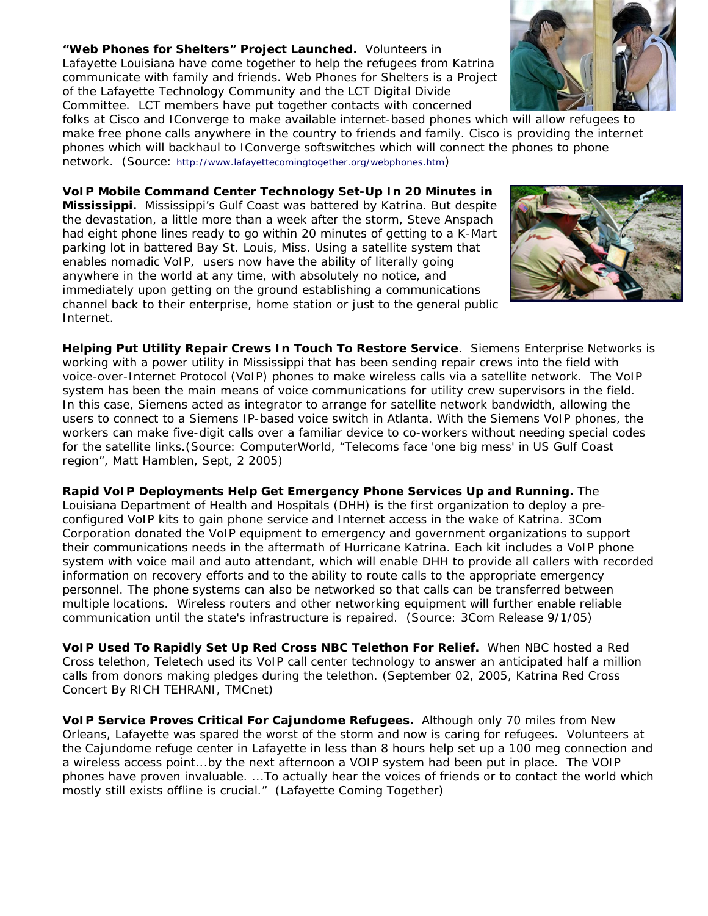**"Web Phones for Shelters" Project Launched.** Volunteers in Lafayette Louisiana have come together to help the refugees from Katrina communicate with family and friends. Web Phones for Shelters is a Project of the Lafayette Technology Community and the LCT Digital Divide Committee. LCT members have put together contacts with concerned

folks at Cisco and IConverge to make available internet-based phones which will allow refugees to make free phone calls anywhere in the country to friends and family. Cisco is providing the internet phones which will backhaul to IConverge softswitches which will connect the phones to phone network. (Source: http://www.lafayettecomingtogether.org/webphones.htm)

**VoIP Mobile Command Center Technology Set-Up In 20 Minutes in Mississippi.** Mississippi's Gulf Coast was battered by Katrina. But despite the devastation, a little more than a week after the storm, Steve Anspach had eight phone lines ready to go within 20 minutes of getting to a K-Mart parking lot in battered Bay St. Louis, Miss. Using a satellite system that enables nomadic VoIP, users now have the ability of literally going anywhere in the world at any time, with absolutely no notice, and immediately upon getting on the ground establishing a communications channel back to their enterprise, home station or just to the general public Internet.

**Helping Put Utility Repair Crews In Touch To Restore Service**. Siemens Enterprise Networks is working with a power utility in Mississippi that has been sending repair crews into the field with voice-over-Internet Protocol (VoIP) phones to make wireless calls via a satellite network. The VoIP system has been the main means of voice communications for utility crew supervisors in the field. In this case, Siemens acted as integrator to arrange for satellite network bandwidth, allowing the users to connect to a Siemens IP-based voice switch in Atlanta. With the Siemens VoIP phones, the workers can make five-digit calls over a familiar device to co-workers without needing special codes for the satellite links.(Source: ComputerWorld, "Telecoms face 'one big mess' in US Gulf Coast region", Matt Hamblen, Sept, 2 2005)

**Rapid VoIP Deployments Help Get Emergency Phone Services Up and Running.** The Louisiana Department of Health and Hospitals (DHH) is the first organization to deploy a preconfigured VoIP kits to gain phone service and Internet access in the wake of Katrina. 3Com Corporation donated the VoIP equipment to emergency and government organizations to support their communications needs in the aftermath of Hurricane Katrina. Each kit includes a VoIP phone system with voice mail and auto attendant, which will enable DHH to provide all callers with recorded information on recovery efforts and to the ability to route calls to the appropriate emergency personnel. The phone systems can also be networked so that calls can be transferred between multiple locations. Wireless routers and other networking equipment will further enable reliable communication until the state's infrastructure is repaired. (Source: 3Com Release 9/1/05)

**VoIP Used To Rapidly Set Up Red Cross NBC Telethon For Relief.** When NBC hosted a Red Cross telethon, Teletech used its VoIP call center technology to answer an anticipated half a million calls from donors making pledges during the telethon. (September 02, 2005, Katrina Red Cross Concert By RICH TEHRANI, TMCnet)

**VoIP Service Proves Critical For Cajundome Refugees.** Although only 70 miles from New Orleans, Lafayette was spared the worst of the storm and now is caring for refugees. Volunteers at the Cajundome refuge center in Lafayette in less than 8 hours help set up a 100 meg connection and a wireless access point...by the next afternoon a VOIP system had been put in place. The VOIP phones have proven invaluable. ...To actually hear the voices of friends or to contact the world which mostly still exists offline is crucial." (Lafayette Coming Together)